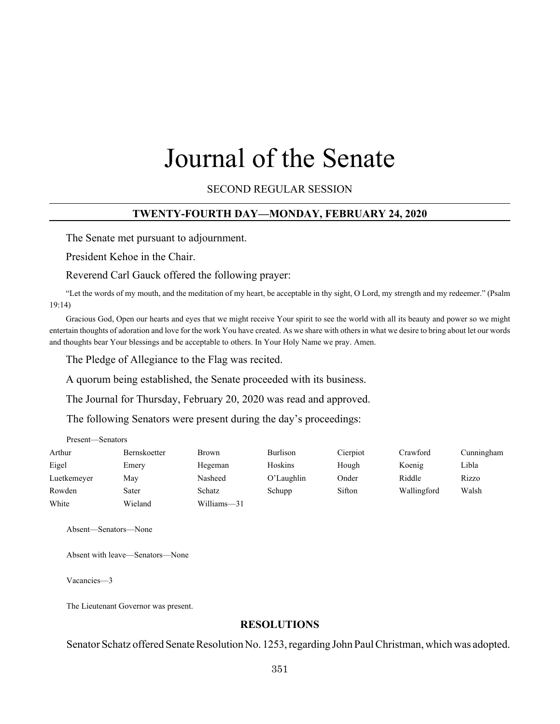# Journal of the Senate

SECOND REGULAR SESSION

#### **TWENTY-FOURTH DAY—MONDAY, FEBRUARY 24, 2020**

The Senate met pursuant to adjournment.

President Kehoe in the Chair.

Reverend Carl Gauck offered the following prayer:

"Let the words of my mouth, and the meditation of my heart, be acceptable in thy sight, O Lord, my strength and my redeemer." (Psalm 19:14)

Gracious God, Open our hearts and eyes that we might receive Your spirit to see the world with all its beauty and power so we might entertain thoughts of adoration and love for the work You have created. As we share with others in what we desire to bring about let our words and thoughts bear Your blessings and be acceptable to others. In Your Holy Name we pray. Amen.

The Pledge of Allegiance to the Flag was recited.

A quorum being established, the Senate proceeded with its business.

The Journal for Thursday, February 20, 2020 was read and approved.

The following Senators were present during the day's proceedings:

| Present—Senators |                     |             |            |          |             |            |
|------------------|---------------------|-------------|------------|----------|-------------|------------|
| Arthur           | <b>Bernskoetter</b> | Brown       | Burlison   | Cierpiot | Crawford    | Cunningham |
| Eigel            | Emery               | Hegeman     | Hoskins    | Hough    | Koenig      | Libla      |
| Luetkemeyer      | May                 | Nasheed     | O'Laughlin | Onder    | Riddle      | Rizzo      |
| Rowden           | Sater               | Schatz      | Schupp     | Sifton   | Wallingford | Walsh      |
| White            | Wieland             | Williams-31 |            |          |             |            |

Absent—Senators—None

Absent with leave—Senators—None

Vacancies—3

The Lieutenant Governor was present.

## **RESOLUTIONS**

Senator Schatz offered Senate Resolution No. 1253, regarding John Paul Christman, which was adopted.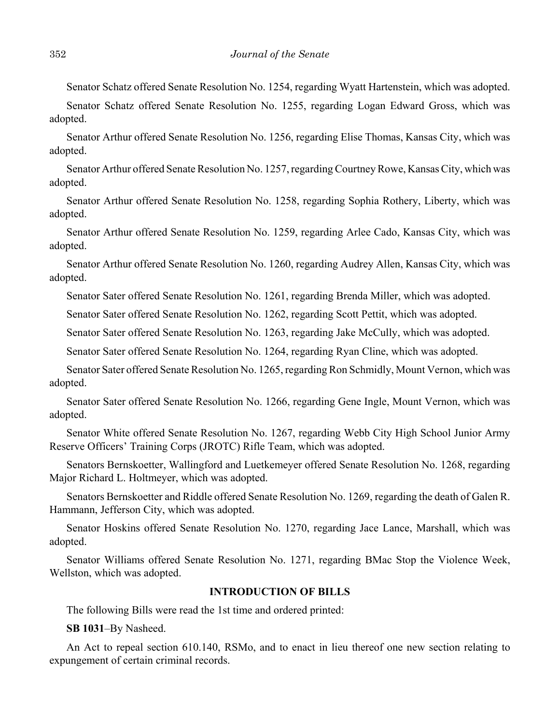Senator Schatz offered Senate Resolution No. 1254, regarding Wyatt Hartenstein, which was adopted.

Senator Schatz offered Senate Resolution No. 1255, regarding Logan Edward Gross, which was adopted.

Senator Arthur offered Senate Resolution No. 1256, regarding Elise Thomas, Kansas City, which was adopted.

Senator Arthur offered Senate Resolution No. 1257, regarding Courtney Rowe, Kansas City, which was adopted.

Senator Arthur offered Senate Resolution No. 1258, regarding Sophia Rothery, Liberty, which was adopted.

Senator Arthur offered Senate Resolution No. 1259, regarding Arlee Cado, Kansas City, which was adopted.

Senator Arthur offered Senate Resolution No. 1260, regarding Audrey Allen, Kansas City, which was adopted.

Senator Sater offered Senate Resolution No. 1261, regarding Brenda Miller, which was adopted.

Senator Sater offered Senate Resolution No. 1262, regarding Scott Pettit, which was adopted.

Senator Sater offered Senate Resolution No. 1263, regarding Jake McCully, which was adopted.

Senator Sater offered Senate Resolution No. 1264, regarding Ryan Cline, which was adopted.

Senator Sater offered Senate Resolution No. 1265, regarding Ron Schmidly, Mount Vernon, which was adopted.

Senator Sater offered Senate Resolution No. 1266, regarding Gene Ingle, Mount Vernon, which was adopted.

Senator White offered Senate Resolution No. 1267, regarding Webb City High School Junior Army Reserve Officers' Training Corps (JROTC) Rifle Team, which was adopted.

 Senators Bernskoetter, Wallingford and Luetkemeyer offered Senate Resolution No. 1268, regarding Major Richard L. Holtmeyer, which was adopted.

Senators Bernskoetter and Riddle offered Senate Resolution No. 1269, regarding the death of Galen R. Hammann, Jefferson City, which was adopted.

Senator Hoskins offered Senate Resolution No. 1270, regarding Jace Lance, Marshall, which was adopted.

Senator Williams offered Senate Resolution No. 1271, regarding BMac Stop the Violence Week, Wellston, which was adopted.

#### **INTRODUCTION OF BILLS**

The following Bills were read the 1st time and ordered printed:

**SB 1031**–By Nasheed.

An Act to repeal section 610.140, RSMo, and to enact in lieu thereof one new section relating to expungement of certain criminal records.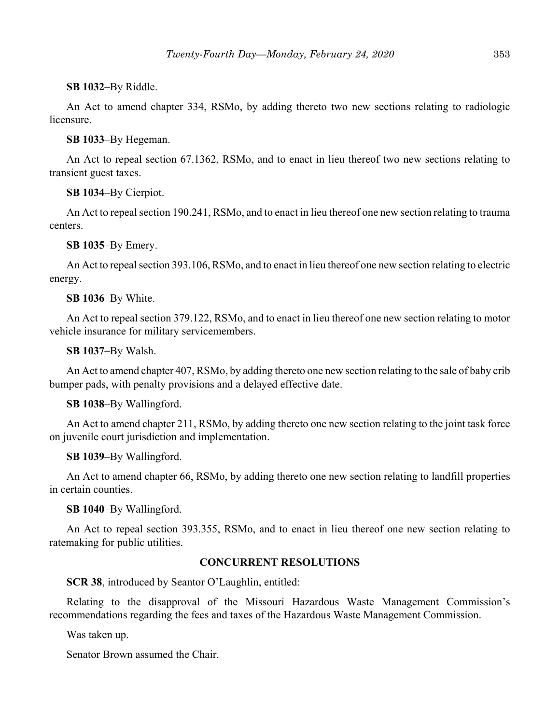#### **SB 1032**–By Riddle.

An Act to amend chapter 334, RSMo, by adding thereto two new sections relating to radiologic licensure.

#### **SB 1033**–By Hegeman.

An Act to repeal section 67.1362, RSMo, and to enact in lieu thereof two new sections relating to transient guest taxes.

**SB 1034**–By Cierpiot.

An Act to repeal section 190.241, RSMo, and to enact in lieu thereof one new section relating to trauma centers.

**SB 1035**–By Emery.

An Act to repeal section 393.106, RSMo, and to enact in lieu thereof one new section relating to electric energy.

#### **SB 1036**–By White.

An Act to repeal section 379.122, RSMo, and to enact in lieu thereof one new section relating to motor vehicle insurance for military servicemembers.

**SB 1037**–By Walsh.

An Act to amend chapter 407, RSMo, by adding thereto one new section relating to the sale of baby crib bumper pads, with penalty provisions and a delayed effective date.

**SB 1038**–By Wallingford.

An Act to amend chapter 211, RSMo, by adding thereto one new section relating to the joint task force on juvenile court jurisdiction and implementation.

**SB 1039**–By Wallingford.

An Act to amend chapter 66, RSMo, by adding thereto one new section relating to landfill properties in certain counties.

**SB 1040**–By Wallingford.

An Act to repeal section 393.355, RSMo, and to enact in lieu thereof one new section relating to ratemaking for public utilities.

#### **CONCURRENT RESOLUTIONS**

**SCR 38**, introduced by Seantor O'Laughlin, entitled:

Relating to the disapproval of the Missouri Hazardous Waste Management Commission's recommendations regarding the fees and taxes of the Hazardous Waste Management Commission.

Was taken up.

Senator Brown assumed the Chair.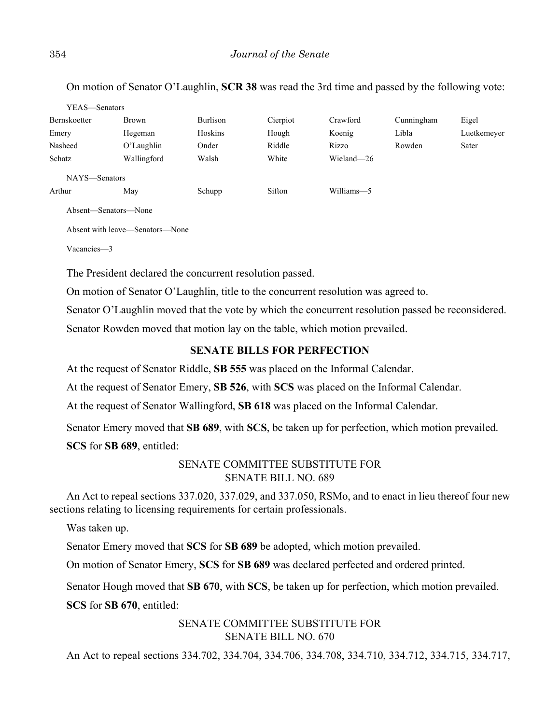On motion of Senator O'Laughlin, **SCR 38** was read the 3rd time and passed by the following vote:

| YEAS—Senators |              |          |          |            |            |             |
|---------------|--------------|----------|----------|------------|------------|-------------|
| Bernskoetter  | <b>Brown</b> | Burlison | Cierpiot | Crawford   | Cunningham | Eigel       |
| Emery         | Hegeman      | Hoskins  | Hough    | Koenig     | Libla      | Luetkemeyer |
| Nasheed       | O'Laughlin   | Onder    | Riddle   | Rizzo      | Rowden     | Sater       |
| Schatz        | Wallingford  | Walsh    | White    | Wieland-26 |            |             |
| NAYS—Senators |              |          |          |            |            |             |
| Arthur        | May          | Schupp   | Sifton   | Williams-5 |            |             |
| .             |              |          |          |            |            |             |

Absent—Senators—None

Absent with leave—Senators—None

Vacancies—3

The President declared the concurrent resolution passed.

On motion of Senator O'Laughlin, title to the concurrent resolution was agreed to.

Senator O'Laughlin moved that the vote by which the concurrent resolution passed be reconsidered.

Senator Rowden moved that motion lay on the table, which motion prevailed.

## **SENATE BILLS FOR PERFECTION**

At the request of Senator Riddle, **SB 555** was placed on the Informal Calendar.

At the request of Senator Emery, **SB 526**, with **SCS** was placed on the Informal Calendar.

At the request of Senator Wallingford, **SB 618** was placed on the Informal Calendar.

Senator Emery moved that **SB 689**, with **SCS**, be taken up for perfection, which motion prevailed.

**SCS** for **SB 689**, entitled:

# SENATE COMMITTEE SUBSTITUTE FOR SENATE BILL NO. 689

An Act to repeal sections 337.020, 337.029, and 337.050, RSMo, and to enact in lieu thereof four new sections relating to licensing requirements for certain professionals.

Was taken up.

Senator Emery moved that **SCS** for **SB 689** be adopted, which motion prevailed.

On motion of Senator Emery, **SCS** for **SB 689** was declared perfected and ordered printed.

Senator Hough moved that **SB 670**, with **SCS**, be taken up for perfection, which motion prevailed.

**SCS** for **SB 670**, entitled:

# SENATE COMMITTEE SUBSTITUTE FOR SENATE BILL NO. 670

An Act to repeal sections 334.702, 334.704, 334.706, 334.708, 334.710, 334.712, 334.715, 334.717,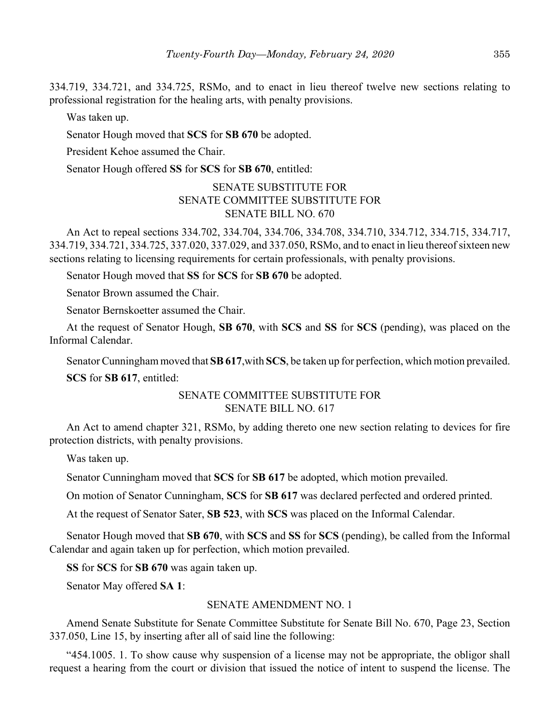334.719, 334.721, and 334.725, RSMo, and to enact in lieu thereof twelve new sections relating to professional registration for the healing arts, with penalty provisions.

Was taken up.

Senator Hough moved that **SCS** for **SB 670** be adopted.

President Kehoe assumed the Chair.

Senator Hough offered **SS** for **SCS** for **SB 670**, entitled:

# SENATE SUBSTITUTE FOR SENATE COMMITTEE SUBSTITUTE FOR SENATE BILL NO. 670

An Act to repeal sections 334.702, 334.704, 334.706, 334.708, 334.710, 334.712, 334.715, 334.717, 334.719, 334.721, 334.725, 337.020, 337.029, and 337.050, RSMo, and to enact in lieu thereof sixteen new sections relating to licensing requirements for certain professionals, with penalty provisions.

Senator Hough moved that **SS** for **SCS** for **SB 670** be adopted.

Senator Brown assumed the Chair.

Senator Bernskoetter assumed the Chair.

At the request of Senator Hough, **SB 670**, with **SCS** and **SS** for **SCS** (pending), was placed on the Informal Calendar.

Senator Cunningham moved that **SB 617**,with **SCS**, be taken up for perfection, which motion prevailed. **SCS** for **SB 617**, entitled:

## SENATE COMMITTEE SUBSTITUTE FOR SENATE BILL NO. 617

An Act to amend chapter 321, RSMo, by adding thereto one new section relating to devices for fire protection districts, with penalty provisions.

Was taken up.

Senator Cunningham moved that **SCS** for **SB 617** be adopted, which motion prevailed.

On motion of Senator Cunningham, **SCS** for **SB 617** was declared perfected and ordered printed.

At the request of Senator Sater, **SB 523**, with **SCS** was placed on the Informal Calendar.

Senator Hough moved that **SB 670**, with **SCS** and **SS** for **SCS** (pending), be called from the Informal Calendar and again taken up for perfection, which motion prevailed.

**SS** for **SCS** for **SB 670** was again taken up.

Senator May offered **SA 1**:

#### SENATE AMENDMENT NO. 1

Amend Senate Substitute for Senate Committee Substitute for Senate Bill No. 670, Page 23, Section 337.050, Line 15, by inserting after all of said line the following:

"454.1005. 1. To show cause why suspension of a license may not be appropriate, the obligor shall request a hearing from the court or division that issued the notice of intent to suspend the license. The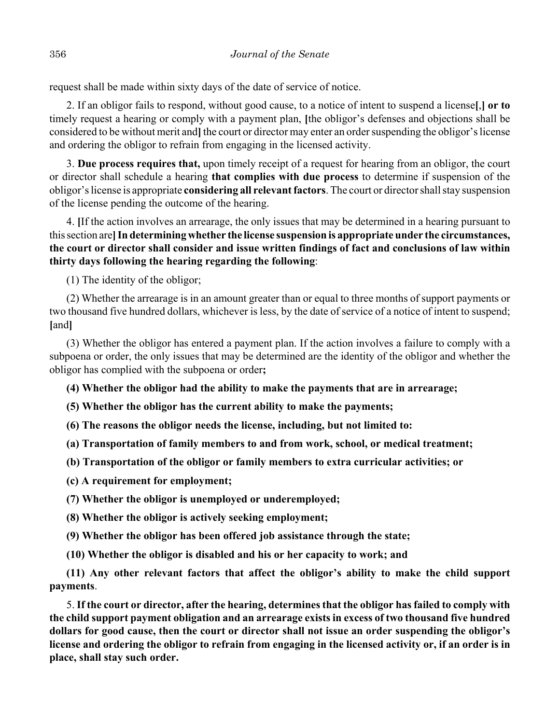request shall be made within sixty days of the date of service of notice.

2. If an obligor fails to respond, without good cause, to a notice of intent to suspend a license**[**,**] or to** timely request a hearing or comply with a payment plan, **[**the obligor's defenses and objections shall be considered to be without merit and**]** the court or director may enter an order suspending the obligor's license and ordering the obligor to refrain from engaging in the licensed activity.

3. **Due process requires that,** upon timely receipt of a request for hearing from an obligor, the court or director shall schedule a hearing **that complies with due process** to determine if suspension of the obligor's license is appropriate **considering all relevant factors**. The court or director shall stay suspension of the license pending the outcome of the hearing.

4. **[**If the action involves an arrearage, the only issues that may be determined in a hearing pursuant to this section are**]In determining whether the license suspension is appropriate under the circumstances, the court or director shall consider and issue written findings of fact and conclusions of law within thirty days following the hearing regarding the following**:

(1) The identity of the obligor;

(2) Whether the arrearage is in an amount greater than or equal to three months of support payments or two thousand five hundred dollars, whichever is less, by the date of service of a notice of intent to suspend; **[**and**]**

(3) Whether the obligor has entered a payment plan. If the action involves a failure to comply with a subpoena or order, the only issues that may be determined are the identity of the obligor and whether the obligor has complied with the subpoena or order**;**

**(4) Whether the obligor had the ability to make the payments that are in arrearage;**

**(5) Whether the obligor has the current ability to make the payments;**

**(6) The reasons the obligor needs the license, including, but not limited to:**

**(a) Transportation of family members to and from work, school, or medical treatment;**

**(b) Transportation of the obligor or family members to extra curricular activities; or**

**(c) A requirement for employment;**

**(7) Whether the obligor is unemployed or underemployed;**

**(8) Whether the obligor is actively seeking employment;**

**(9) Whether the obligor has been offered job assistance through the state;**

**(10) Whether the obligor is disabled and his or her capacity to work; and**

**(11) Any other relevant factors that affect the obligor's ability to make the child support payments**.

5. **If the court or director, after the hearing, determines that the obligor has failed to comply with the child support payment obligation and an arrearage exists in excess of two thousand five hundred dollars for good cause, then the court or director shall not issue an order suspending the obligor's license and ordering the obligor to refrain from engaging in the licensed activity or, if an order is in place, shall stay such order.**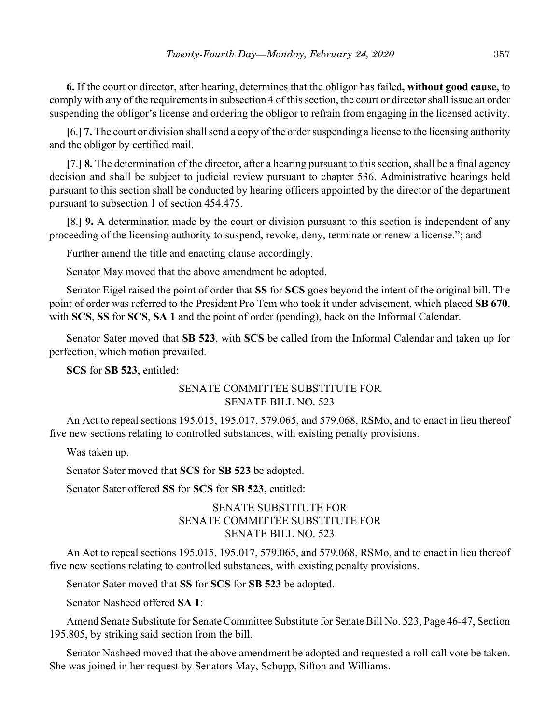**6.** If the court or director, after hearing, determines that the obligor has failed**, without good cause,** to comply with any of the requirements in subsection 4 of this section, the court or director shall issue an order suspending the obligor's license and ordering the obligor to refrain from engaging in the licensed activity.

**[**6.**] 7.** The court or division shall send a copy of the order suspending a license to the licensing authority and the obligor by certified mail.

**[**7.**] 8.** The determination of the director, after a hearing pursuant to this section, shall be a final agency decision and shall be subject to judicial review pursuant to chapter 536. Administrative hearings held pursuant to this section shall be conducted by hearing officers appointed by the director of the department pursuant to subsection 1 of section 454.475.

**[**8.**] 9.** A determination made by the court or division pursuant to this section is independent of any proceeding of the licensing authority to suspend, revoke, deny, terminate or renew a license."; and

Further amend the title and enacting clause accordingly.

Senator May moved that the above amendment be adopted.

Senator Eigel raised the point of order that **SS** for **SCS** goes beyond the intent of the original bill. The point of order was referred to the President Pro Tem who took it under advisement, which placed **SB 670**, with **SCS**, **SS** for **SCS**, **SA 1** and the point of order (pending), back on the Informal Calendar.

Senator Sater moved that **SB 523**, with **SCS** be called from the Informal Calendar and taken up for perfection, which motion prevailed.

**SCS** for **SB 523**, entitled:

## SENATE COMMITTEE SUBSTITUTE FOR SENATE BILL NO. 523

An Act to repeal sections 195.015, 195.017, 579.065, and 579.068, RSMo, and to enact in lieu thereof five new sections relating to controlled substances, with existing penalty provisions.

Was taken up.

Senator Sater moved that **SCS** for **SB 523** be adopted.

Senator Sater offered **SS** for **SCS** for **SB 523**, entitled:

# SENATE SUBSTITUTE FOR SENATE COMMITTEE SUBSTITUTE FOR SENATE BILL NO. 523

An Act to repeal sections 195.015, 195.017, 579.065, and 579.068, RSMo, and to enact in lieu thereof five new sections relating to controlled substances, with existing penalty provisions.

Senator Sater moved that **SS** for **SCS** for **SB 523** be adopted.

Senator Nasheed offered **SA 1**:

Amend Senate Substitute for Senate Committee Substitute for Senate Bill No. 523, Page 46-47, Section 195.805, by striking said section from the bill.

Senator Nasheed moved that the above amendment be adopted and requested a roll call vote be taken. She was joined in her request by Senators May, Schupp, Sifton and Williams.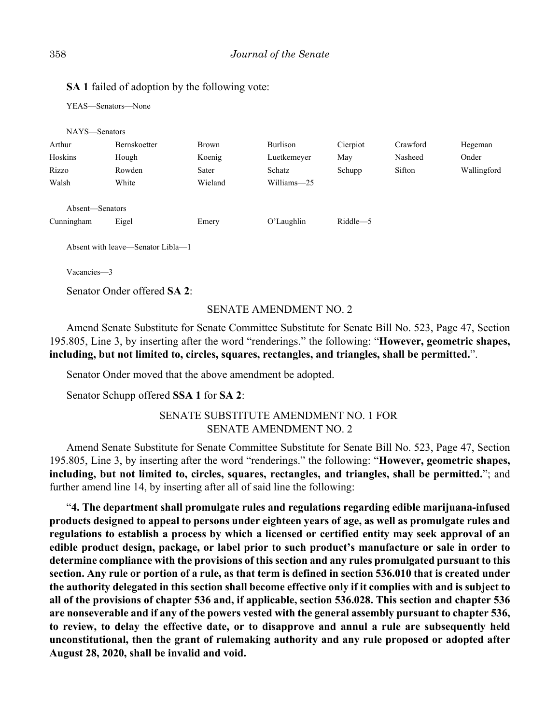# **SA 1** failed of adoption by the following vote:

YEAS—Senators—None

| NAYS-Senators   |              |         |               |          |          |             |
|-----------------|--------------|---------|---------------|----------|----------|-------------|
| Arthur          | Bernskoetter | Brown   | Burlison      | Cierpiot | Crawford | Hegeman     |
| Hoskins         | Hough        | Koenig  | Luetkemeyer   | May      | Nasheed  | Onder       |
| Rizzo           | Rowden       | Sater   | Schatz        | Schupp   | Sifton   | Wallingford |
| Walsh           | White        | Wieland | Williams-25   |          |          |             |
| Absent-Senators |              |         |               |          |          |             |
| Cunningham      | Eigel        | Emery   | $O'$ Laughlin | Riddle-5 |          |             |

Absent with leave—Senator Libla—1

Vacancies—3

Senator Onder offered **SA 2**:

#### SENATE AMENDMENT NO. 2

Amend Senate Substitute for Senate Committee Substitute for Senate Bill No. 523, Page 47, Section 195.805, Line 3, by inserting after the word "renderings." the following: "**However, geometric shapes, including, but not limited to, circles, squares, rectangles, and triangles, shall be permitted.**".

Senator Onder moved that the above amendment be adopted.

Senator Schupp offered **SSA 1** for **SA 2**:

# SENATE SUBSTITUTE AMENDMENT NO. 1 FOR SENATE AMENDMENT NO. 2

Amend Senate Substitute for Senate Committee Substitute for Senate Bill No. 523, Page 47, Section 195.805, Line 3, by inserting after the word "renderings." the following: "**However, geometric shapes, including, but not limited to, circles, squares, rectangles, and triangles, shall be permitted.**"; and further amend line 14, by inserting after all of said line the following:

"**4. The department shall promulgate rules and regulations regarding edible marijuana-infused products designed to appeal to persons under eighteen years of age, as well as promulgate rules and regulations to establish a process by which a licensed or certified entity may seek approval of an edible product design, package, or label prior to such product's manufacture or sale in order to determine compliance with the provisions of this section and any rules promulgated pursuant to this section. Any rule or portion of a rule, as that term is defined in section 536.010 that is created under the authority delegated in this section shall become effective only if it complies with and is subject to all of the provisions of chapter 536 and, if applicable, section 536.028. This section and chapter 536 are nonseverable and if any of the powers vested with the general assembly pursuant to chapter 536, to review, to delay the effective date, or to disapprove and annul a rule are subsequently held unconstitutional, then the grant of rulemaking authority and any rule proposed or adopted after August 28, 2020, shall be invalid and void.**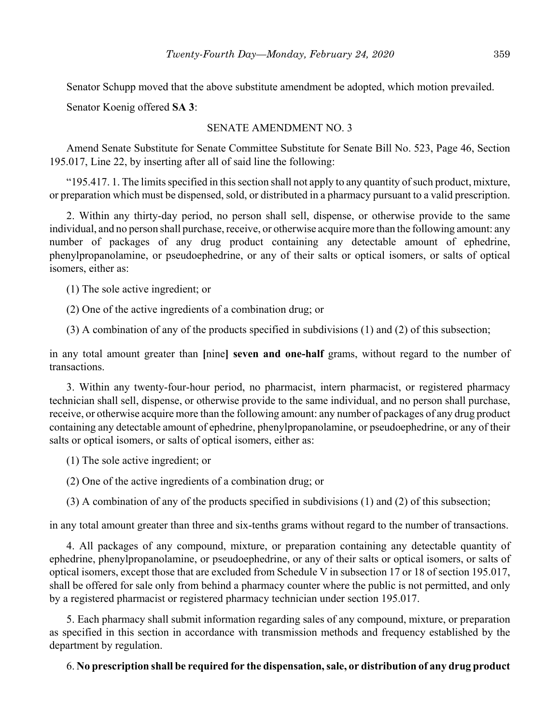Senator Schupp moved that the above substitute amendment be adopted, which motion prevailed.

Senator Koenig offered **SA 3**:

## SENATE AMENDMENT NO. 3

Amend Senate Substitute for Senate Committee Substitute for Senate Bill No. 523, Page 46, Section 195.017, Line 22, by inserting after all of said line the following:

"195.417. 1. The limits specified in this section shall not apply to any quantity of such product, mixture, or preparation which must be dispensed, sold, or distributed in a pharmacy pursuant to a valid prescription.

2. Within any thirty-day period, no person shall sell, dispense, or otherwise provide to the same individual, and no person shall purchase, receive, or otherwise acquire more than the following amount: any number of packages of any drug product containing any detectable amount of ephedrine, phenylpropanolamine, or pseudoephedrine, or any of their salts or optical isomers, or salts of optical isomers, either as:

(1) The sole active ingredient; or

(2) One of the active ingredients of a combination drug; or

(3) A combination of any of the products specified in subdivisions (1) and (2) of this subsection;

in any total amount greater than **[**nine**] seven and one-half** grams, without regard to the number of transactions.

3. Within any twenty-four-hour period, no pharmacist, intern pharmacist, or registered pharmacy technician shall sell, dispense, or otherwise provide to the same individual, and no person shall purchase, receive, or otherwise acquire more than the following amount: any number of packages of any drug product containing any detectable amount of ephedrine, phenylpropanolamine, or pseudoephedrine, or any of their salts or optical isomers, or salts of optical isomers, either as:

(1) The sole active ingredient; or

(2) One of the active ingredients of a combination drug; or

(3) A combination of any of the products specified in subdivisions (1) and (2) of this subsection;

in any total amount greater than three and six-tenths grams without regard to the number of transactions.

4. All packages of any compound, mixture, or preparation containing any detectable quantity of ephedrine, phenylpropanolamine, or pseudoephedrine, or any of their salts or optical isomers, or salts of optical isomers, except those that are excluded from Schedule V in subsection 17 or 18 of section 195.017, shall be offered for sale only from behind a pharmacy counter where the public is not permitted, and only by a registered pharmacist or registered pharmacy technician under section 195.017.

5. Each pharmacy shall submit information regarding sales of any compound, mixture, or preparation as specified in this section in accordance with transmission methods and frequency established by the department by regulation.

## 6. **No prescription shall be required for the dispensation, sale, or distribution of any drug product**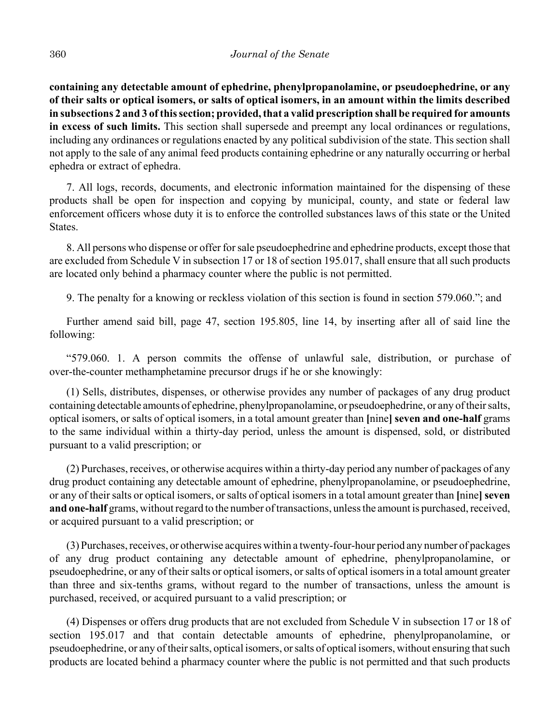**containing any detectable amount of ephedrine, phenylpropanolamine, or pseudoephedrine, or any of their salts or optical isomers, or salts of optical isomers, in an amount within the limits described in subsections 2 and 3 of this section; provided, that a valid prescription shall be required for amounts in excess of such limits.** This section shall supersede and preempt any local ordinances or regulations, including any ordinances or regulations enacted by any political subdivision of the state. This section shall not apply to the sale of any animal feed products containing ephedrine or any naturally occurring or herbal ephedra or extract of ephedra.

7. All logs, records, documents, and electronic information maintained for the dispensing of these products shall be open for inspection and copying by municipal, county, and state or federal law enforcement officers whose duty it is to enforce the controlled substances laws of this state or the United States.

8. All persons who dispense or offer for sale pseudoephedrine and ephedrine products, except those that are excluded from Schedule V in subsection 17 or 18 of section 195.017, shall ensure that all such products are located only behind a pharmacy counter where the public is not permitted.

9. The penalty for a knowing or reckless violation of this section is found in section 579.060."; and

Further amend said bill, page 47, section 195.805, line 14, by inserting after all of said line the following:

"579.060. 1. A person commits the offense of unlawful sale, distribution, or purchase of over-the-counter methamphetamine precursor drugs if he or she knowingly:

(1) Sells, distributes, dispenses, or otherwise provides any number of packages of any drug product containing detectable amounts of ephedrine, phenylpropanolamine, or pseudoephedrine, or any of their salts, optical isomers, or salts of optical isomers, in a total amount greater than **[**nine**] seven and one-half** grams to the same individual within a thirty-day period, unless the amount is dispensed, sold, or distributed pursuant to a valid prescription; or

(2) Purchases, receives, or otherwise acquires within a thirty-day period any number of packages of any drug product containing any detectable amount of ephedrine, phenylpropanolamine, or pseudoephedrine, or any of their salts or optical isomers, or salts of optical isomers in a total amount greater than [nine] seven **and one-half** grams, without regard to the number of transactions, unless the amount is purchased, received, or acquired pursuant to a valid prescription; or

(3) Purchases, receives, or otherwise acquires within a twenty-four-hour period any number of packages of any drug product containing any detectable amount of ephedrine, phenylpropanolamine, or pseudoephedrine, or any of their salts or optical isomers, or salts of optical isomers in a total amount greater than three and six-tenths grams, without regard to the number of transactions, unless the amount is purchased, received, or acquired pursuant to a valid prescription; or

(4) Dispenses or offers drug products that are not excluded from Schedule V in subsection 17 or 18 of section 195.017 and that contain detectable amounts of ephedrine, phenylpropanolamine, or pseudoephedrine, or any of their salts, optical isomers, or salts of optical isomers, without ensuring that such products are located behind a pharmacy counter where the public is not permitted and that such products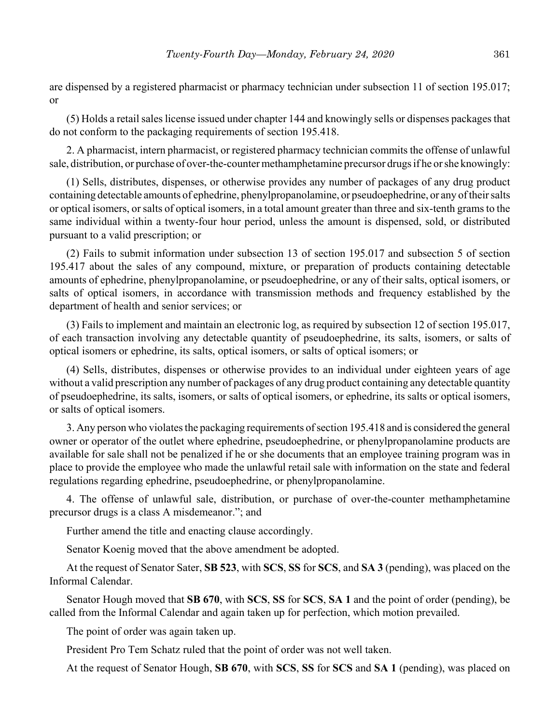are dispensed by a registered pharmacist or pharmacy technician under subsection 11 of section 195.017; or

(5) Holds a retail sales license issued under chapter 144 and knowingly sells or dispenses packages that do not conform to the packaging requirements of section 195.418.

2. A pharmacist, intern pharmacist, or registered pharmacy technician commits the offense of unlawful sale, distribution, or purchase of over-the-counter methamphetamine precursor drugs if he or she knowingly:

(1) Sells, distributes, dispenses, or otherwise provides any number of packages of any drug product containing detectable amounts of ephedrine, phenylpropanolamine, or pseudoephedrine, or any of their salts or optical isomers, or salts of optical isomers, in a total amount greater than three and six-tenth grams to the same individual within a twenty-four hour period, unless the amount is dispensed, sold, or distributed pursuant to a valid prescription; or

(2) Fails to submit information under subsection 13 of section 195.017 and subsection 5 of section 195.417 about the sales of any compound, mixture, or preparation of products containing detectable amounts of ephedrine, phenylpropanolamine, or pseudoephedrine, or any of their salts, optical isomers, or salts of optical isomers, in accordance with transmission methods and frequency established by the department of health and senior services; or

(3) Fails to implement and maintain an electronic log, as required by subsection 12 of section 195.017, of each transaction involving any detectable quantity of pseudoephedrine, its salts, isomers, or salts of optical isomers or ephedrine, its salts, optical isomers, or salts of optical isomers; or

(4) Sells, distributes, dispenses or otherwise provides to an individual under eighteen years of age without a valid prescription any number of packages of any drug product containing any detectable quantity of pseudoephedrine, its salts, isomers, or salts of optical isomers, or ephedrine, its salts or optical isomers, or salts of optical isomers.

3. Any person who violates the packaging requirements of section 195.418 and is considered the general owner or operator of the outlet where ephedrine, pseudoephedrine, or phenylpropanolamine products are available for sale shall not be penalized if he or she documents that an employee training program was in place to provide the employee who made the unlawful retail sale with information on the state and federal regulations regarding ephedrine, pseudoephedrine, or phenylpropanolamine.

4. The offense of unlawful sale, distribution, or purchase of over-the-counter methamphetamine precursor drugs is a class A misdemeanor."; and

Further amend the title and enacting clause accordingly.

Senator Koenig moved that the above amendment be adopted.

At the request of Senator Sater, **SB 523**, with **SCS**, **SS** for **SCS**, and **SA 3** (pending), was placed on the Informal Calendar.

Senator Hough moved that **SB 670**, with **SCS**, **SS** for **SCS**, **SA 1** and the point of order (pending), be called from the Informal Calendar and again taken up for perfection, which motion prevailed.

The point of order was again taken up.

President Pro Tem Schatz ruled that the point of order was not well taken.

At the request of Senator Hough, **SB 670**, with **SCS**, **SS** for **SCS** and **SA 1** (pending), was placed on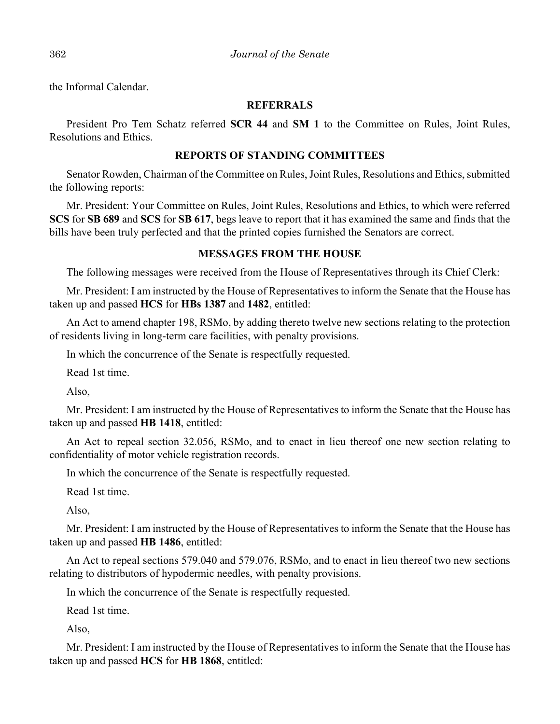the Informal Calendar.

## **REFERRALS**

President Pro Tem Schatz referred **SCR 44** and **SM 1** to the Committee on Rules, Joint Rules, Resolutions and Ethics.

## **REPORTS OF STANDING COMMITTEES**

Senator Rowden, Chairman of the Committee on Rules, Joint Rules, Resolutions and Ethics, submitted the following reports:

Mr. President: Your Committee on Rules, Joint Rules, Resolutions and Ethics, to which were referred **SCS** for **SB 689** and **SCS** for **SB 617**, begs leave to report that it has examined the same and finds that the bills have been truly perfected and that the printed copies furnished the Senators are correct.

## **MESSAGES FROM THE HOUSE**

The following messages were received from the House of Representatives through its Chief Clerk:

Mr. President: I am instructed by the House of Representatives to inform the Senate that the House has taken up and passed **HCS** for **HBs 1387** and **1482**, entitled:

An Act to amend chapter 198, RSMo, by adding thereto twelve new sections relating to the protection of residents living in long-term care facilities, with penalty provisions.

In which the concurrence of the Senate is respectfully requested.

Read 1st time.

Also,

Mr. President: I am instructed by the House of Representatives to inform the Senate that the House has taken up and passed **HB 1418**, entitled:

An Act to repeal section 32.056, RSMo, and to enact in lieu thereof one new section relating to confidentiality of motor vehicle registration records.

In which the concurrence of the Senate is respectfully requested.

Read 1st time.

Also,

Mr. President: I am instructed by the House of Representatives to inform the Senate that the House has taken up and passed **HB 1486**, entitled:

An Act to repeal sections 579.040 and 579.076, RSMo, and to enact in lieu thereof two new sections relating to distributors of hypodermic needles, with penalty provisions.

In which the concurrence of the Senate is respectfully requested.

Read 1st time.

Also,

Mr. President: I am instructed by the House of Representatives to inform the Senate that the House has taken up and passed **HCS** for **HB 1868**, entitled: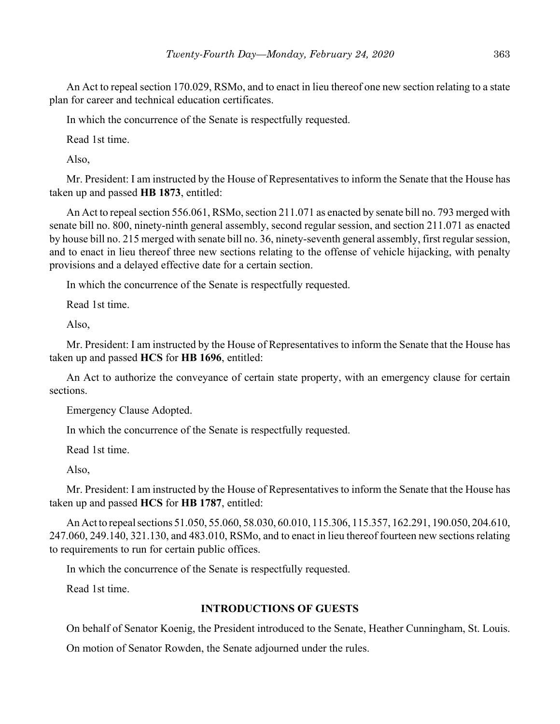An Act to repeal section 170.029, RSMo, and to enact in lieu thereof one new section relating to a state plan for career and technical education certificates.

In which the concurrence of the Senate is respectfully requested.

Read 1st time.

Also,

Mr. President: I am instructed by the House of Representatives to inform the Senate that the House has taken up and passed **HB 1873**, entitled:

An Act to repeal section 556.061, RSMo, section 211.071 as enacted by senate bill no. 793 merged with senate bill no. 800, ninety-ninth general assembly, second regular session, and section 211.071 as enacted by house bill no. 215 merged with senate bill no. 36, ninety-seventh general assembly, first regular session, and to enact in lieu thereof three new sections relating to the offense of vehicle hijacking, with penalty provisions and a delayed effective date for a certain section.

In which the concurrence of the Senate is respectfully requested.

Read 1st time.

Also,

Mr. President: I am instructed by the House of Representatives to inform the Senate that the House has taken up and passed **HCS** for **HB 1696**, entitled:

An Act to authorize the conveyance of certain state property, with an emergency clause for certain sections.

Emergency Clause Adopted.

In which the concurrence of the Senate is respectfully requested.

Read 1st time.

Also,

Mr. President: I am instructed by the House of Representatives to inform the Senate that the House has taken up and passed **HCS** for **HB 1787**, entitled:

An Act to repeal sections 51.050, 55.060, 58.030, 60.010, 115.306, 115.357, 162.291, 190.050, 204.610, 247.060, 249.140, 321.130, and 483.010, RSMo, and to enact in lieu thereof fourteen new sections relating to requirements to run for certain public offices.

In which the concurrence of the Senate is respectfully requested.

Read 1st time.

# **INTRODUCTIONS OF GUESTS**

On behalf of Senator Koenig, the President introduced to the Senate, Heather Cunningham, St. Louis.

On motion of Senator Rowden, the Senate adjourned under the rules.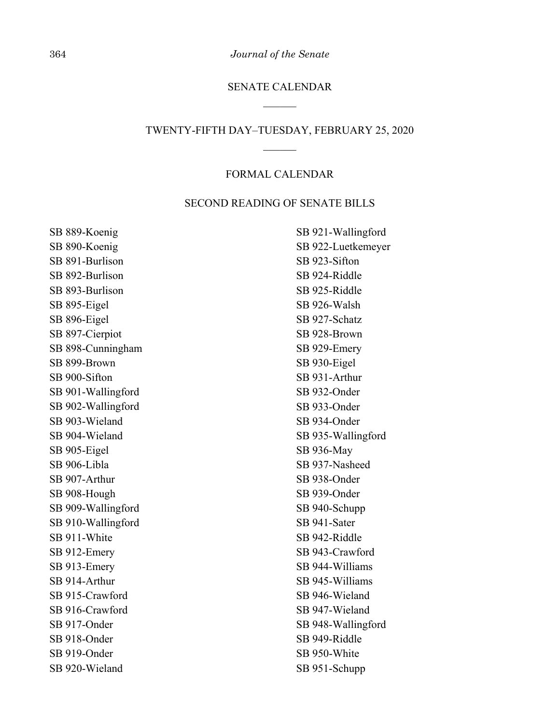364 *Journal of the Senate*

## SENATE CALENDAR

#### TWENTY-FIFTH DAY–TUESDAY, FEBRUARY 25, 2020

#### FORMAL CALENDAR

#### SECOND READING OF SENATE BILLS

SB 889-Koenig SB 890-Koenig SB 891-Burlison SB 892-Burlison SB 893-Burlison SB 895-Eigel SB 896-Eigel SB 897-Cierpiot SB 898-Cunningham SB 899-Brown SB 900-Sifton SB 901-Wallingford SB 902-Wallingford SB 903-Wieland SB 904-Wieland SB 905-Eigel SB 906-Libla SB 907-Arthur SB 908-Hough SB 909-Wallingford SB 910-Wallingford SB 911-White SB 912-Emery SB 913-Emery SB 914-Arthur SB 915-Crawford SB 916-Crawford SB 917-Onder SB 918-Onder SB 919-Onder SB 920-Wieland

SB 921-Wallingford SB 922-Luetkemeyer SB 923-Sifton SB 924-Riddle SB 925-Riddle SB 926-Walsh SB 927-Schatz SB 928-Brown SB 929-Emery SB 930-Eigel SB 931-Arthur SB 932-Onder SB 933-Onder SB 934-Onder SB 935-Wallingford SB 936-May SB 937-Nasheed SB 938-Onder SB 939-Onder SB 940-Schupp SB 941-Sater SB 942-Riddle SB 943-Crawford SB 944-Williams SB 945-Williams SB 946-Wieland SB 947-Wieland SB 948-Wallingford SB 949-Riddle SB 950-White SB 951-Schupp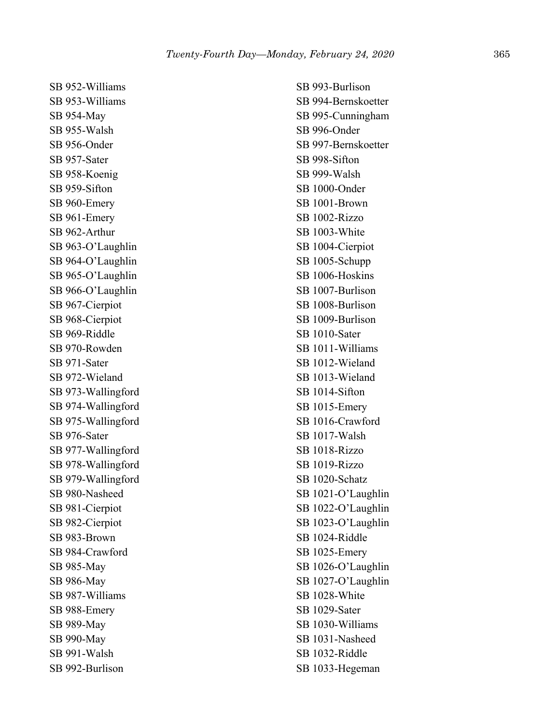SB 952-Williams SB 953-Williams SB 954-May SB 955-Walsh SB 956-Onder SB 957-Sater SB 958-Koenig SB 959-Sifton SB 960-Emery SB 961-Emery SB 962-Arthur SB 963-O'Laughlin SB 964-O'Laughlin SB 965-O'Laughlin SB 966-O'Laughlin SB 967-Cierpiot SB 968-Cierpiot SB 969-Riddle SB 970-Rowden SB 971-Sater SB 972-Wieland SB 973-Wallingford SB 974-Wallingford SB 975-Wallingford SB 976-Sater SB 977-Wallingford SB 978-Wallingford SB 979-Wallingford SB 980-Nasheed SB 981-Cierpiot SB 982-Cierpiot SB 983-Brown SB 984-Crawford SB 985-May SB 986-May SB 987-Williams SB 988-Emery SB 989-May SB 990-May SB 991-Walsh SB 992-Burlison

SB 993-Burlison SB 994-Bernskoetter SB 995-Cunningham SB 996-Onder SB 997-Bernskoetter SB 998-Sifton SB 999-Walsh SB 1000-Onder SB 1001-Brown SB 1002-Rizzo SB 1003-White SB 1004-Cierpiot SB 1005-Schupp SB 1006-Hoskins SB 1007-Burlison SB 1008-Burlison SB 1009-Burlison SB 1010-Sater SB 1011-Williams SB 1012-Wieland SB 1013-Wieland SB 1014-Sifton SB 1015-Emery SB 1016-Crawford SB 1017-Walsh SB 1018-Rizzo SB 1019-Rizzo SB 1020-Schatz SB 1021-O'Laughlin SB 1022-O'Laughlin SB 1023-O'Laughlin SB 1024-Riddle SB 1025-Emery SB 1026-O'Laughlin SB 1027-O'Laughlin SB 1028-White SB 1029-Sater SB 1030-Williams SB 1031-Nasheed SB 1032-Riddle SB 1033-Hegeman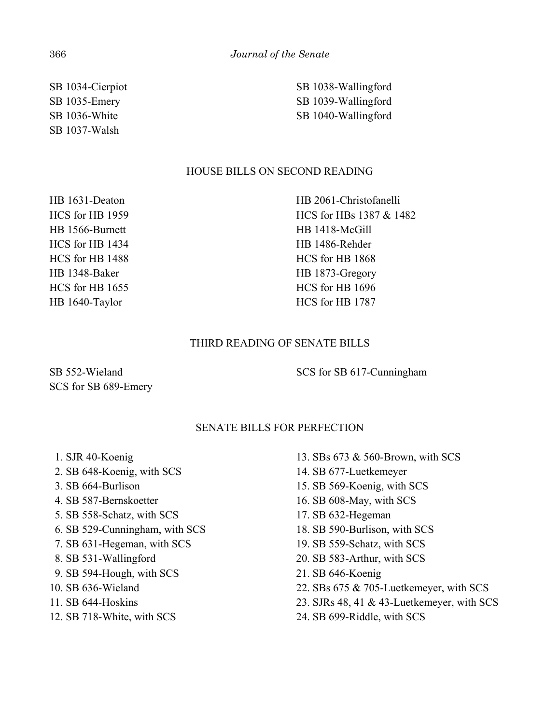SB 1034-Cierpiot SB 1035-Emery SB 1036-White SB 1037-Walsh

SB 1038-Wallingford SB 1039-Wallingford SB 1040-Wallingford

# HOUSE BILLS ON SECOND READING

HB 1631-Deaton HCS for HB 1959 HB 1566-Burnett HCS for HB 1434 HCS for HB 1488 HB 1348-Baker HCS for HB 1655 HB 1640-Taylor

HB 2061-Christofanelli HCS for HBs 1387 & 1482 HB 1418-McGill HB 1486-Rehder HCS for HB 1868 HB 1873-Gregory HCS for HB 1696 HCS for HB 1787

## THIRD READING OF SENATE BILLS

SB 552-Wieland SCS for SB 689-Emery

SCS for SB 617-Cunningham

## SENATE BILLS FOR PERFECTION

- 1. SJR 40-Koenig
- 2. SB 648-Koenig, with SCS
- 3. SB 664-Burlison
- 4. SB 587-Bernskoetter
- 5. SB 558-Schatz, with SCS
- 6. SB 529-Cunningham, with SCS
- 7. SB 631-Hegeman, with SCS
- 8. SB 531-Wallingford
- 9. SB 594-Hough, with SCS
- 10. SB 636-Wieland
- 11. SB 644-Hoskins
- 12. SB 718-White, with SCS
- 13. SBs 673 & 560-Brown, with SCS
- 14. SB 677-Luetkemeyer
- 15. SB 569-Koenig, with SCS
- 16. SB 608-May, with SCS
- 17. SB 632-Hegeman
- 18. SB 590-Burlison, with SCS
- 19. SB 559-Schatz, with SCS
- 20. SB 583-Arthur, with SCS
- 21. SB 646-Koenig
- 22. SBs 675 & 705-Luetkemeyer, with SCS
- 23. SJRs 48, 41 & 43-Luetkemeyer, with SCS
- 24. SB 699-Riddle, with SCS